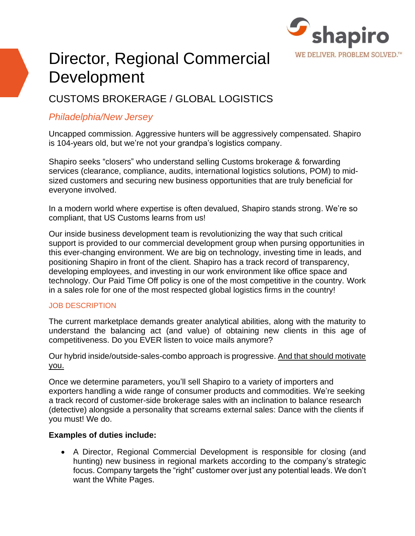

# Director, Regional Commercial Development

# CUSTOMS BROKERAGE / GLOBAL LOGISTICS

# *Philadelphia/New Jersey*

Uncapped commission. Aggressive hunters will be aggressively compensated. Shapiro is 104-years old, but we're not your grandpa's logistics company.

Shapiro seeks "closers" who understand selling Customs brokerage & forwarding services (clearance, compliance, audits, international logistics solutions, POM) to midsized customers and securing new business opportunities that are truly beneficial for everyone involved.

In a modern world where expertise is often devalued, Shapiro stands strong. We're so compliant, that US Customs learns from us!

Our inside business development team is revolutionizing the way that such critical support is provided to our commercial development group when pursing opportunities in this ever-changing environment. We are big on technology, investing time in leads, and positioning Shapiro in front of the client. Shapiro has a track record of transparency, developing employees, and investing in our work environment like office space and technology. Our Paid Time Off policy is one of the most competitive in the country. Work in a sales role for one of the most respected global logistics firms in the country!

### JOB DESCRIPTION

The current marketplace demands greater analytical abilities, along with the maturity to understand the balancing act (and value) of obtaining new clients in this age of competitiveness. Do you EVER listen to voice mails anymore?

Our hybrid inside/outside-sales-combo approach is progressive. And that should motivate you.

Once we determine parameters, you'll sell Shapiro to a variety of importers and exporters handling a wide range of consumer products and commodities. We're seeking a track record of customer-side brokerage sales with an inclination to balance research (detective) alongside a personality that screams external sales: Dance with the clients if you must! We do.

## **Examples of duties include:**

• A Director, Regional Commercial Development is responsible for closing (and hunting) new business in regional markets according to the company's strategic focus. Company targets the "right" customer over just any potential leads. We don't want the White Pages.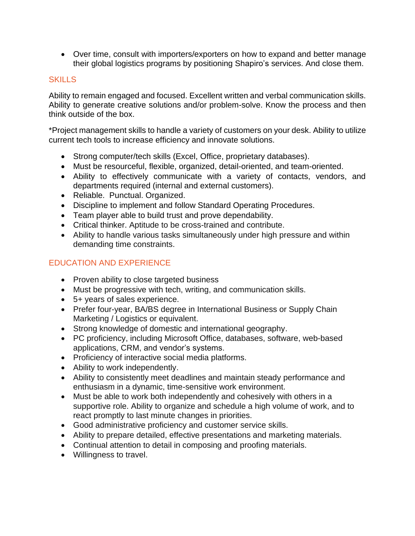• Over time, consult with importers/exporters on how to expand and better manage their global logistics programs by positioning Shapiro's services. And close them.

## SKILLS

Ability to remain engaged and focused. Excellent written and verbal communication skills. Ability to generate creative solutions and/or problem-solve. Know the process and then think outside of the box.

\*Project management skills to handle a variety of customers on your desk. Ability to utilize current tech tools to increase efficiency and innovate solutions.

- Strong computer/tech skills (Excel, Office, proprietary databases).
- Must be resourceful, flexible, organized, detail-oriented, and team-oriented.
- Ability to effectively communicate with a variety of contacts, vendors, and departments required (internal and external customers).
- Reliable. Punctual. Organized.
- Discipline to implement and follow Standard Operating Procedures.
- Team player able to build trust and prove dependability.
- Critical thinker. Aptitude to be cross-trained and contribute.
- Ability to handle various tasks simultaneously under high pressure and within demanding time constraints.

# EDUCATION AND EXPERIENCE

- Proven ability to close targeted business
- Must be progressive with tech, writing, and communication skills.
- 5+ years of sales experience.
- Prefer four-year, BA/BS degree in International Business or Supply Chain Marketing / Logistics or equivalent.
- Strong knowledge of domestic and international geography.
- PC proficiency, including Microsoft Office, databases, software, web-based applications, CRM, and vendor's systems.
- Proficiency of interactive social media platforms.
- Ability to work independently.
- Ability to consistently meet deadlines and maintain steady performance and enthusiasm in a dynamic, time-sensitive work environment.
- Must be able to work both independently and cohesively with others in a supportive role. Ability to organize and schedule a high volume of work, and to react promptly to last minute changes in priorities.
- Good administrative proficiency and customer service skills.
- Ability to prepare detailed, effective presentations and marketing materials.
- Continual attention to detail in composing and proofing materials.
- Willingness to travel.